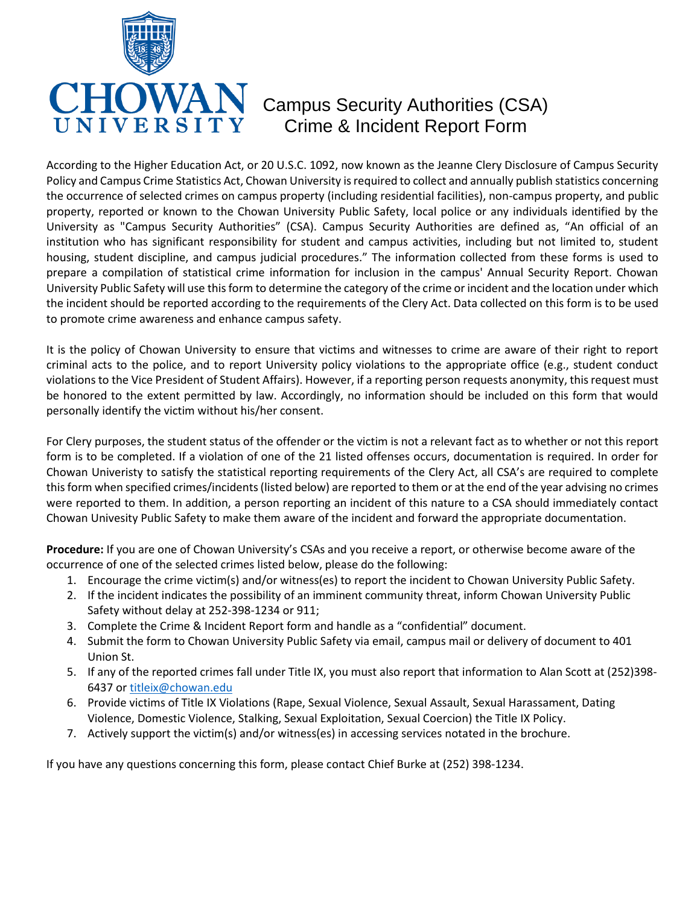

# $VALN$  Campus Security Authorities (CSA)  $\operatorname{S} \text{I} \mathbf{T} \text{Y}$  Crime & Incident Report Form

According to the Higher Education Act, or 20 U.S.C. 1092, now known as the Jeanne Clery Disclosure of Campus Security Policy and Campus Crime Statistics Act, Chowan University is required to collect and annually publish statistics concerning the occurrence of selected crimes on campus property (including residential facilities), non-campus property, and public property, reported or known to the Chowan University Public Safety, local police or any individuals identified by the University as "Campus Security Authorities" (CSA). Campus Security Authorities are defined as, "An official of an institution who has significant responsibility for student and campus activities, including but not limited to, student housing, student discipline, and campus judicial procedures." The information collected from these forms is used to prepare a compilation of statistical crime information for inclusion in the campus' Annual Security Report. Chowan University Public Safety will use this form to determine the category of the crime or incident and the location under which the incident should be reported according to the requirements of the Clery Act. Data collected on this form is to be used to promote crime awareness and enhance campus safety.

It is the policy of Chowan University to ensure that victims and witnesses to crime are aware of their right to report criminal acts to the police, and to report University policy violations to the appropriate office (e.g., student conduct violations to the Vice President of Student Affairs). However, if a reporting person requests anonymity, this request must be honored to the extent permitted by law. Accordingly, no information should be included on this form that would personally identify the victim without his/her consent.

For Clery purposes, the student status of the offender or the victim is not a relevant fact as to whether or not this report form is to be completed. If a violation of one of the 21 listed offenses occurs, documentation is required. In order for Chowan Univeristy to satisfy the statistical reporting requirements of the Clery Act, all CSA's are required to complete this form when specified crimes/incidents (listed below) are reported to them or at the end of the year advising no crimes were reported to them. In addition, a person reporting an incident of this nature to a CSA should immediately contact Chowan Univesity Public Safety to make them aware of the incident and forward the appropriate documentation.

**Procedure:** If you are one of Chowan University's CSAs and you receive a report, or otherwise become aware of the occurrence of one of the selected crimes listed below, please do the following:

- 1. Encourage the crime victim(s) and/or witness(es) to report the incident to Chowan University Public Safety.
- 2. If the incident indicates the possibility of an imminent community threat, inform Chowan University Public Safety without delay at 252-398-1234 or 911;
- 3. Complete the Crime & Incident Report form and handle as a "confidential" document.
- 4. Submit the form to Chowan University Public Safety via email, campus mail or delivery of document to 401 Union St.
- 5. If any of the reported crimes fall under Title IX, you must also report that information to Alan Scott at (252)398- 6437 o[r titleix@chowan.edu](mailto:titleix@chowan.edu)
- 6. Provide victims of Title IX Violations (Rape, Sexual Violence, Sexual Assault, Sexual Harassament, Dating Violence, Domestic Violence, Stalking, Sexual Exploitation, Sexual Coercion) the Title IX Policy.
- 7. Actively support the victim(s) and/or witness(es) in accessing services notated in the brochure.

If you have any questions concerning this form, please contact Chief Burke at (252) 398-1234.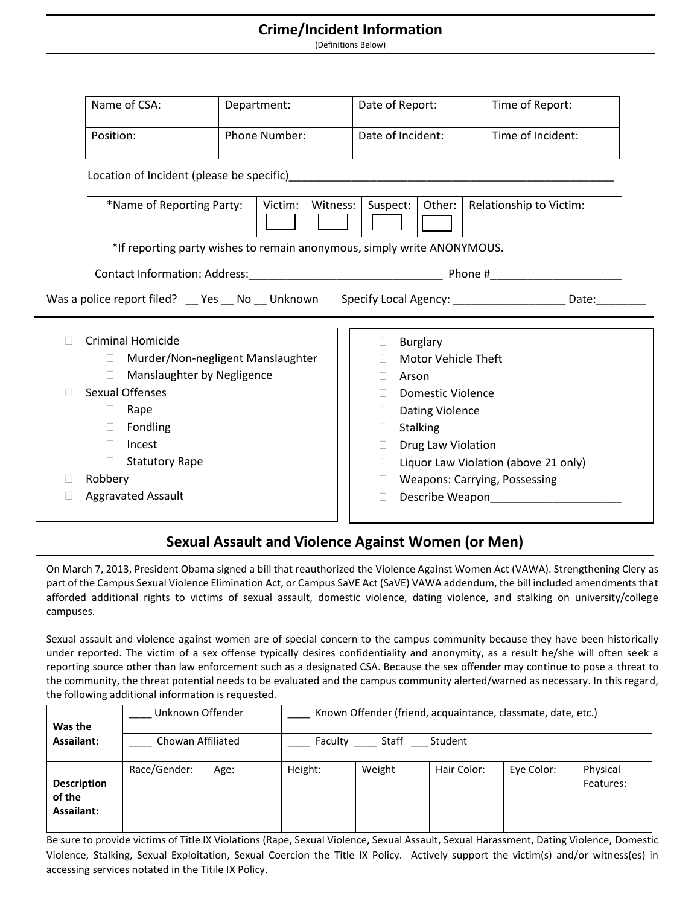#### **Crime/Incident Information**

(Definitions Below)

| Name of CSA:                                                                                               |  | Department:   |          | Date of Report:   |                 |                        | Time of Report:                      |  |  |
|------------------------------------------------------------------------------------------------------------|--|---------------|----------|-------------------|-----------------|------------------------|--------------------------------------|--|--|
| Position:                                                                                                  |  | Phone Number: |          | Date of Incident: |                 |                        | Time of Incident:                    |  |  |
|                                                                                                            |  |               |          |                   |                 |                        |                                      |  |  |
| *Name of Reporting Party:<br>Victim:                                                                       |  |               | Witness: | Suspect:          |                 | Other:                 | <b>Relationship to Victim:</b>       |  |  |
| *If reporting party wishes to remain anonymous, simply write ANONYMOUS.                                    |  |               |          |                   |                 |                        |                                      |  |  |
|                                                                                                            |  |               |          |                   |                 |                        |                                      |  |  |
|                                                                                                            |  |               |          |                   |                 |                        |                                      |  |  |
|                                                                                                            |  |               |          |                   |                 |                        |                                      |  |  |
| Was a police report filed? __ Yes __ No __ Unknown Specify Local Agency: ___________________ Date:________ |  |               |          |                   |                 |                        |                                      |  |  |
| <b>Criminal Homicide</b>                                                                                   |  |               |          |                   | <b>Burglary</b> |                        |                                      |  |  |
| Murder/Non-negligent Manslaughter<br>$\Box$                                                                |  |               |          |                   |                 | Motor Vehicle Theft    |                                      |  |  |
| Manslaughter by Negligence<br>П.                                                                           |  |               |          |                   | Arson           |                        |                                      |  |  |
| <b>Sexual Offenses</b>                                                                                     |  |               |          |                   |                 | Domestic Violence      |                                      |  |  |
| Rape<br>$\Box$                                                                                             |  |               |          |                   |                 | <b>Dating Violence</b> |                                      |  |  |
| Fondling<br>$\Box$                                                                                         |  |               |          |                   | <b>Stalking</b> |                        |                                      |  |  |
| Incest<br>$\Box$                                                                                           |  |               |          |                   |                 | Drug Law Violation     |                                      |  |  |
| <b>Statutory Rape</b><br>n.                                                                                |  |               |          |                   |                 |                        | Liquor Law Violation (above 21 only) |  |  |
| Robbery                                                                                                    |  |               |          |                   |                 |                        | <b>Weapons: Carrying, Possessing</b> |  |  |

### **Sexual Assault and Violence Against Women (or Men)**

On March 7, 2013, President Obama signed a bill that reauthorized the Violence Against Women Act (VAWA). Strengthening Clery as part of the Campus Sexual Violence Elimination Act, or Campus SaVE Act (SaVE) VAWA addendum, the bill included amendments that afforded additional rights to victims of sexual assault, domestic violence, dating violence, and stalking on university/college campuses.

Sexual assault and violence against women are of special concern to the campus community because they have been historically under reported. The victim of a sex offense typically desires confidentiality and anonymity, as a result he/she will often seek a reporting source other than law enforcement such as a designated CSA. Because the sex offender may continue to pose a threat to the community, the threat potential needs to be evaluated and the campus community alerted/warned as necessary. In this regard, the following additional information is requested.

| Was the                                    | Unknown Offender  |       | Known Offender (friend, acquaintance, classmate, date, etc.) |        |             |            |                       |  |  |
|--------------------------------------------|-------------------|-------|--------------------------------------------------------------|--------|-------------|------------|-----------------------|--|--|
| Assailant:                                 | Chowan Affiliated | Staff | Student                                                      |        |             |            |                       |  |  |
| <b>Description</b><br>of the<br>Assailant: | Race/Gender:      | Age:  | Height:                                                      | Weight | Hair Color: | Eve Color: | Physical<br>Features: |  |  |

Be sure to provide victims of Title IX Violations (Rape, Sexual Violence, Sexual Assault, Sexual Harassment, Dating Violence, Domestic Violence, Stalking, Sexual Exploitation, Sexual Coercion the Title IX Policy. Actively support the victim(s) and/or witness(es) in accessing services notated in the Titile IX Policy.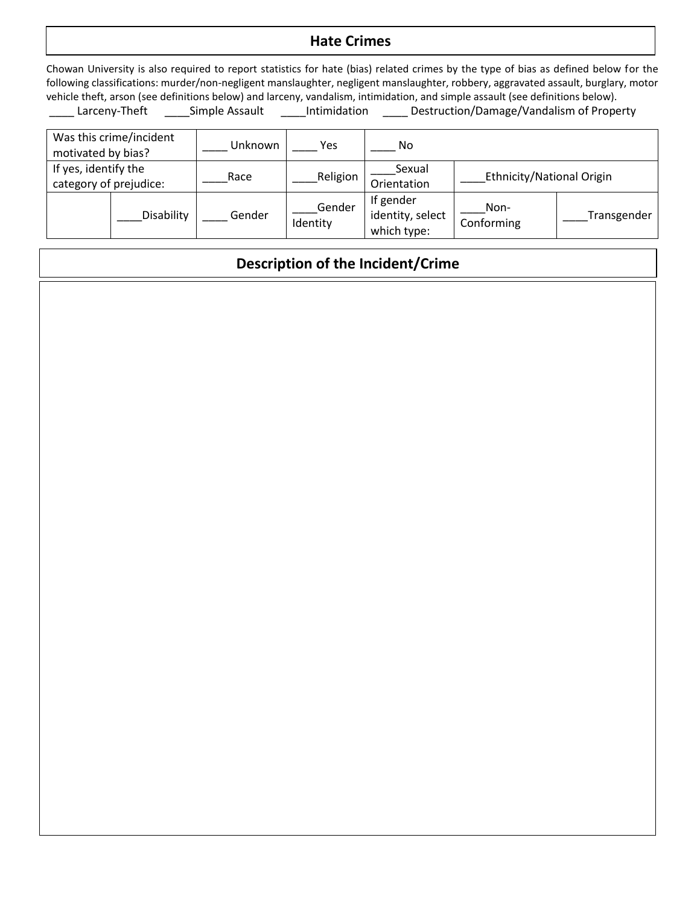### **Hate Crimes**

Chowan University is also required to report statistics for hate (bias) related crimes by the type of bias as defined below for the following classifications: murder/non-negligent manslaughter, negligent manslaughter, robbery, aggravated assault, burglary, motor vehicle theft, arson (see definitions below) and larceny, vandalism, intimidation, and simple assault (see definitions below). Larceny-Theft \_\_\_\_\_Simple Assault \_\_\_\_\_Intimidation \_\_\_\_\_ Destruction/Damage/Vandalism of Property

| Was this crime/incident<br>motivated by bias?  |            | Unknown | Yes                | No                                           |                           |             |  |
|------------------------------------------------|------------|---------|--------------------|----------------------------------------------|---------------------------|-------------|--|
| If yes, identify the<br>category of prejudice: |            | Race    | Religion           | Sexual<br>Orientation                        | Ethnicity/National Origin |             |  |
|                                                | Disability | Gender  | Gender<br>Identity | If gender<br>identity, select<br>which type: | Non-<br>Conforming        | Transgender |  |

## **Description of the Incident/Crime**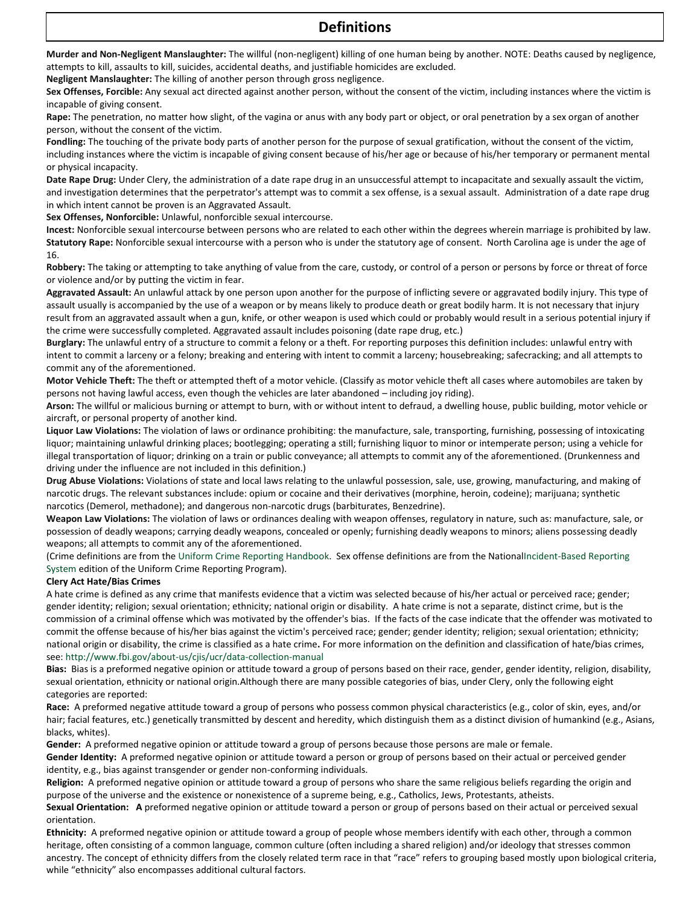#### **Definitions**

**Murder and Non-Negligent Manslaughter:** The willful (non-negligent) killing of one human being by another. NOTE: Deaths caused by negligence, attempts to kill, assaults to kill, suicides, accidental deaths, and justifiable homicides are excluded.

**Negligent Manslaughter:** The killing of another person through gross negligence.

**Sex Offenses, Forcible:** Any sexual act directed against another person, without the consent of the victim, including instances where the victim is incapable of giving consent.

**Rape:** The penetration, no matter how slight, of the vagina or anus with any body part or object, or oral penetration by a sex organ of another person, without the consent of the victim.

**Fondling:** The touching of the private body parts of another person for the purpose of sexual gratification, without the consent of the victim, including instances where the victim is incapable of giving consent because of his/her age or because of his/her temporary or permanent mental or physical incapacity.

**Date Rape Drug:** Under Clery, the administration of a date rape drug in an unsuccessful attempt to incapacitate and sexually assault the victim, and investigation determines that the perpetrator's attempt was to commit a sex offense, is a sexual assault. Administration of a date rape drug in which intent cannot be proven is an Aggravated Assault.

**Sex Offenses, Nonforcible:** Unlawful, nonforcible sexual intercourse.

**Incest:** Nonforcible sexual intercourse between persons who are related to each other within the degrees wherein marriage is prohibited by law. **Statutory Rape:** Nonforcible sexual intercourse with a person who is under the statutory age of consent. North Carolina age is under the age of 16.

**Robbery:** The taking or attempting to take anything of value from the care, custody, or control of a person or persons by force or threat of force or violence and/or by putting the victim in fear.

**Aggravated Assault:** An unlawful attack by one person upon another for the purpose of inflicting severe or aggravated bodily injury. This type of assault usually is accompanied by the use of a weapon or by means likely to produce death or great bodily harm. It is not necessary that injury result from an aggravated assault when a gun, knife, or other weapon is used which could or probably would result in a serious potential injury if the crime were successfully completed. Aggravated assault includes poisoning (date rape drug, etc.)

**Burglary:** The unlawful entry of a structure to commit a felony or a theft. For reporting purposes this definition includes: unlawful entry with intent to commit a larceny or a felony; breaking and entering with intent to commit a larceny; housebreaking; safecracking; and all attempts to commit any of the aforementioned.

**Motor Vehicle Theft:** The theft or attempted theft of a motor vehicle. (Classify as motor vehicle theft all cases where automobiles are taken by persons not having lawful access, even though the vehicles are later abandoned – including joy riding).

**Arson:** The willful or malicious burning or attempt to burn, with or without intent to defraud, a dwelling house, public building, motor vehicle or aircraft, or personal property of another kind.

**Liquor Law Violations:** The violation of laws or ordinance prohibiting: the manufacture, sale, transporting, furnishing, possessing of intoxicating liquor; maintaining unlawful drinking places; bootlegging; operating a still; furnishing liquor to minor or intemperate person; using a vehicle for illegal transportation of liquor; drinking on a train or public conveyance; all attempts to commit any of the aforementioned. (Drunkenness and driving under the influence are not included in this definition.)

**Drug Abuse Violations:** Violations of state and local laws relating to the unlawful possession, sale, use, growing, manufacturing, and making of narcotic drugs. The relevant substances include: opium or cocaine and their derivatives (morphine, heroin, codeine); marijuana; synthetic narcotics (Demerol, methadone); and dangerous non-narcotic drugs (barbiturates, Benzedrine).

**Weapon Law Violations:** The violation of laws or ordinances dealing with weapon offenses, regulatory in nature, such as: manufacture, sale, or possession of deadly weapons; carrying deadly weapons, concealed or openly; furnishing deadly weapons to minors; aliens possessing deadly weapons; all attempts to commit any of the aforementioned.

(Crime definitions are from the Uniform Crime Reporting [Handbook.](http://www.dstaffordandassociates.com/wp-content/uploads/2013/04/UCR-Handbook-2004.pdf) Sex offense definitions are from the Nation[alIncident-Based](http://www.dstaffordandassociates.com/wp-content/uploads/2013/09/NIBRS-Handbook-1-17-13.pdf) Reporting [System](http://www.dstaffordandassociates.com/wp-content/uploads/2013/09/NIBRS-Handbook-1-17-13.pdf) edition of the Uniform Crime Reporting Program).

#### **Clery Act Hate/Bias Crimes**

A hate crime is defined as any crime that manifests evidence that a victim was selected because of his/her actual or perceived race; gender; gender identity; religion; sexual orientation; ethnicity; national origin or disability. A hate crime is not a separate, distinct crime, but is the commission of a criminal offense which was motivated by the offender's bias. If the facts of the case indicate that the offender was motivated to commit the offense because of his/her bias against the victim's perceived race; gender; gender identity; religion; sexual orientation; ethnicity; national origin or disability, the crime is classified as a hate crime**.** For more information on the definition and classification of hate/bias crimes, see: <http://www.fbi.gov/about-us/cjis/ucr/data-collection-manual>

**Bias:** Bias is a preformed negative opinion or attitude toward a group of persons based on their race, gender, gender identity, religion, disability, sexual orientation, ethnicity or national origin.Although there are many possible categories of bias, under Clery, only the following eight categories are reported:

**Race:** A preformed negative attitude toward a group of persons who possess common physical characteristics (e.g., color of skin, eyes, and/or hair; facial features, etc.) genetically transmitted by descent and heredity, which distinguish them as a distinct division of humankind (e.g., Asians, blacks, whites).

Gender: A preformed negative opinion or attitude toward a group of persons because those persons are male or female.

**Gender Identity:** A preformed negative opinion or attitude toward a person or group of persons based on their actual or perceived gender identity, e.g., bias against transgender or gender non-conforming individuals.

**Religion:** A preformed negative opinion or attitude toward a group of persons who share the same religious beliefs regarding the origin and purpose of the universe and the existence or nonexistence of a supreme being, e.g., Catholics, Jews, Protestants, atheists.

**Sexual Orientation: A** preformed negative opinion or attitude toward a person or group of persons based on their actual or perceived sexual orientation.

**Ethnicity:** A preformed negative opinion or attitude toward a group of people whose members identify with each other, through a common heritage, often consisting of a common language, common culture (often including a shared religion) and/or ideology that stresses common ancestry. The concept of ethnicity differs from the closely related term race in that "race" refers to grouping based mostly upon biological criteria, while "ethnicity" also encompasses additional cultural factors.